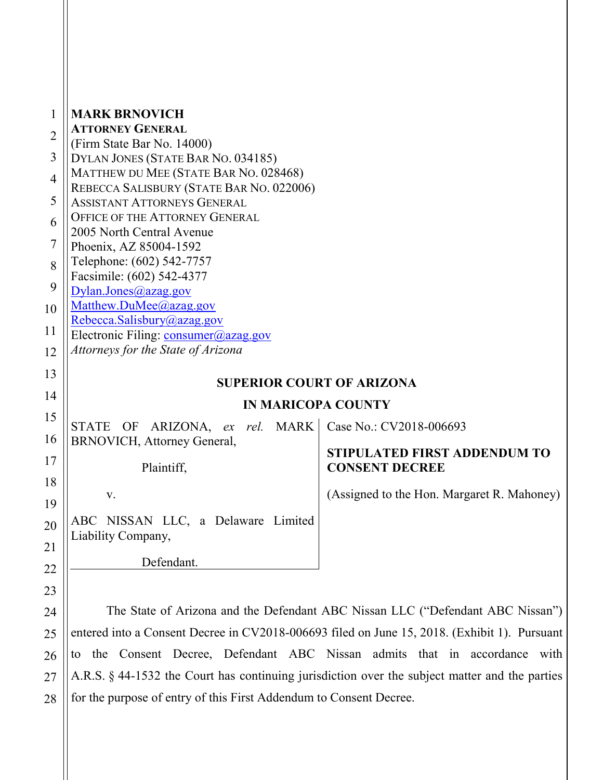| 1              | <b>MARK BRNOVICH</b>                                                                           |                                                              |
|----------------|------------------------------------------------------------------------------------------------|--------------------------------------------------------------|
| $\overline{2}$ | <b>ATTORNEY GENERAL</b>                                                                        |                                                              |
|                | (Firm State Bar No. 14000)                                                                     |                                                              |
| 3              | DYLAN JONES (STATE BAR NO. 034185)                                                             |                                                              |
| $\overline{4}$ | MATTHEW DU MEE (STATE BAR NO. 028468)<br>REBECCA SALISBURY (STATE BAR NO. 022006)              |                                                              |
| 5              | <b>ASSISTANT ATTORNEYS GENERAL</b>                                                             |                                                              |
| 6              | OFFICE OF THE ATTORNEY GENERAL                                                                 |                                                              |
|                | 2005 North Central Avenue                                                                      |                                                              |
| 7              | Phoenix, AZ 85004-1592                                                                         |                                                              |
| 8              | Telephone: (602) 542-7757                                                                      |                                                              |
| 9              | Facsimile: (602) 542-4377<br>Dylan.Jones@azag.gov                                              |                                                              |
| 10             | Matthew.DuMee@azag.gov                                                                         |                                                              |
|                | Rebecca.Salisbury@azag.gov                                                                     |                                                              |
| 11             | Electronic Filing: consumer@azag.gov                                                           |                                                              |
| 12             | Attorneys for the State of Arizona                                                             |                                                              |
| 13             |                                                                                                |                                                              |
| 14             | <b>SUPERIOR COURT OF ARIZONA</b>                                                               |                                                              |
| 15             | <b>IN MARICOPA COUNTY</b>                                                                      |                                                              |
|                | ARIZONA, ex rel. MARK<br>STATE OF                                                              | Case No.: CV2018-006693                                      |
| 16             | BRNOVICH, Attorney General,                                                                    |                                                              |
| 17             | Plaintiff,                                                                                     | <b>STIPULATED FIRST ADDENDUM TO</b><br><b>CONSENT DECREE</b> |
| 18             |                                                                                                |                                                              |
| 19             | V.                                                                                             | (Assigned to the Hon. Margaret R. Mahoney)                   |
|                | ABC NISSAN LLC, a Delaware Limited                                                             |                                                              |
| 20             | Liability Company,                                                                             |                                                              |
| 21             |                                                                                                |                                                              |
| 22             | Defendant.                                                                                     |                                                              |
| 23             |                                                                                                |                                                              |
| 24             | The State of Arizona and the Defendant ABC Nissan LLC ("Defendant ABC Nissan")                 |                                                              |
| 25             | entered into a Consent Decree in CV2018-006693 filed on June 15, 2018. (Exhibit 1). Pursuant   |                                                              |
|                |                                                                                                |                                                              |
| 26             | to the Consent Decree, Defendant ABC Nissan admits that in accordance<br>with                  |                                                              |
| 27             | A.R.S. § 44-1532 the Court has continuing jurisdiction over the subject matter and the parties |                                                              |

28 for the purpose of entry of this First Addendum to Consent Decree.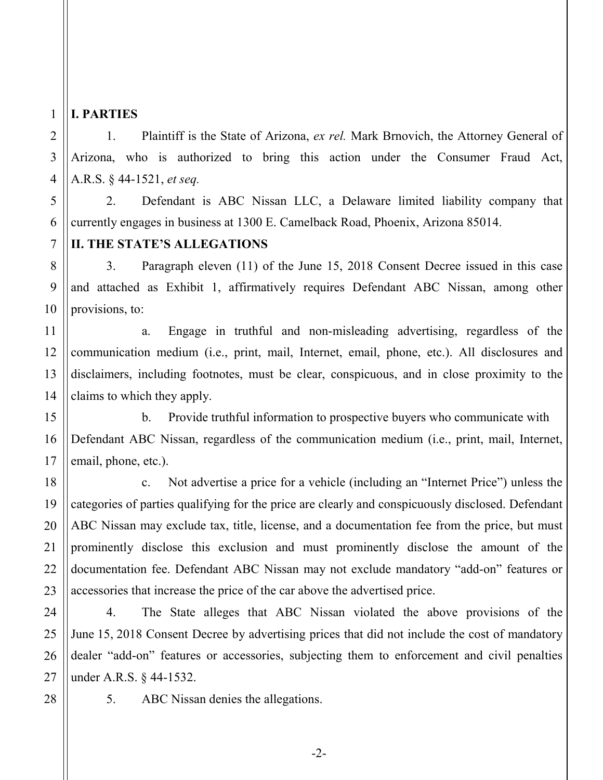## **I. PARTIES**

1

2

3

4

5

6

7

8

9

10

11

12

13

15

16

17

18

19

20

21

22

23

24

25

1. Plaintiff is the State of Arizona, *ex rel.* Mark Brnovich, the Attorney General of Arizona, who is authorized to bring this action under the Consumer Fraud Act, A.R.S. § 44-1521, *et seq.*

2. Defendant is ABC Nissan LLC, a Delaware limited liability company that currently engages in business at 1300 E. Camelback Road, Phoenix, Arizona 85014.

## **II. THE STATE'S ALLEGATIONS**

3. Paragraph eleven (11) of the June 15, 2018 Consent Decree issued in this case and attached as Exhibit 1, affirmatively requires Defendant ABC Nissan, among other provisions, to:

14 a. Engage in truthful and non-misleading advertising, regardless of the communication medium (i.e., print, mail, Internet, email, phone, etc.). All disclosures and disclaimers, including footnotes, must be clear, conspicuous, and in close proximity to the claims to which they apply.

b. Provide truthful information to prospective buyers who communicate with Defendant ABC Nissan, regardless of the communication medium (i.e., print, mail, Internet, email, phone, etc.).

c. Not advertise a price for a vehicle (including an "Internet Price") unless the categories of parties qualifying for the price are clearly and conspicuously disclosed. Defendant ABC Nissan may exclude tax, title, license, and a documentation fee from the price, but must prominently disclose this exclusion and must prominently disclose the amount of the documentation fee. Defendant ABC Nissan may not exclude mandatory "add-on" features or accessories that increase the price of the car above the advertised price.

4. The State alleges that ABC Nissan violated the above provisions of the June 15, 2018 Consent Decree by advertising prices that did not include the cost of mandatory dealer "add-on" features or accessories, subjecting them to enforcement and civil penalties under A.R.S. § 44-1532.

26 27 28

5. ABC Nissan denies the allegations.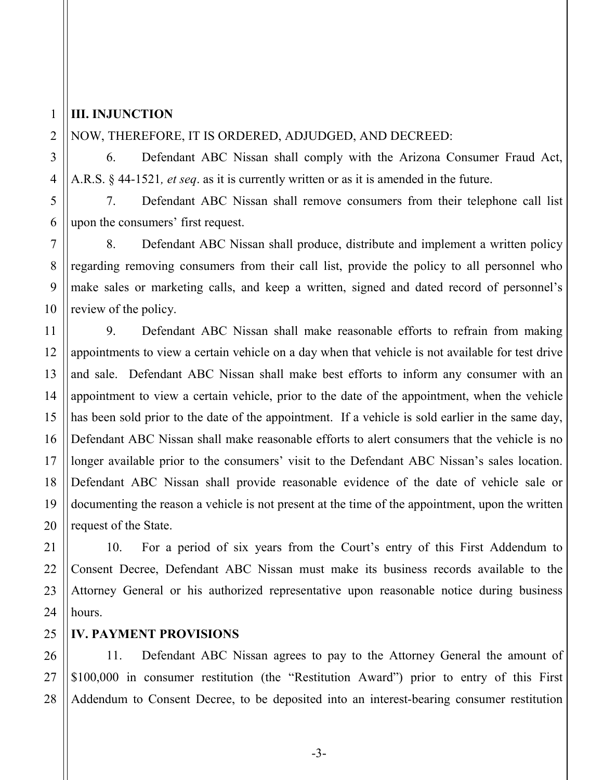### **III. INJUNCTION**

1

#### NOW, THEREFORE, IT IS ORDERED, ADJUDGED, AND DECREED:

6. Defendant ABC Nissan shall comply with the Arizona Consumer Fraud Act, A.R.S. § 44-1521*, et seq*. as it is currently written or as it is amended in the future.

7. Defendant ABC Nissan shall remove consumers from their telephone call list upon the consumers' first request.

8. Defendant ABC Nissan shall produce, distribute and implement a written policy regarding removing consumers from their call list, provide the policy to all personnel who make sales or marketing calls, and keep a written, signed and dated record of personnel's review of the policy.

9. Defendant ABC Nissan shall make reasonable efforts to refrain from making appointments to view a certain vehicle on a day when that vehicle is not available for test drive and sale. Defendant ABC Nissan shall make best efforts to inform any consumer with an appointment to view a certain vehicle, prior to the date of the appointment, when the vehicle has been sold prior to the date of the appointment. If a vehicle is sold earlier in the same day, Defendant ABC Nissan shall make reasonable efforts to alert consumers that the vehicle is no longer available prior to the consumers' visit to the Defendant ABC Nissan's sales location. Defendant ABC Nissan shall provide reasonable evidence of the date of vehicle sale or documenting the reason a vehicle is not present at the time of the appointment, upon the written request of the State.

10. For a period of six years from the Court's entry of this First Addendum to Consent Decree, Defendant ABC Nissan must make its business records available to the Attorney General or his authorized representative upon reasonable notice during business hours.

#### **IV. PAYMENT PROVISIONS**

11. Defendant ABC Nissan agrees to pay to the Attorney General the amount of \$100,000 in consumer restitution (the "Restitution Award") prior to entry of this First Addendum to Consent Decree, to be deposited into an interest-bearing consumer restitution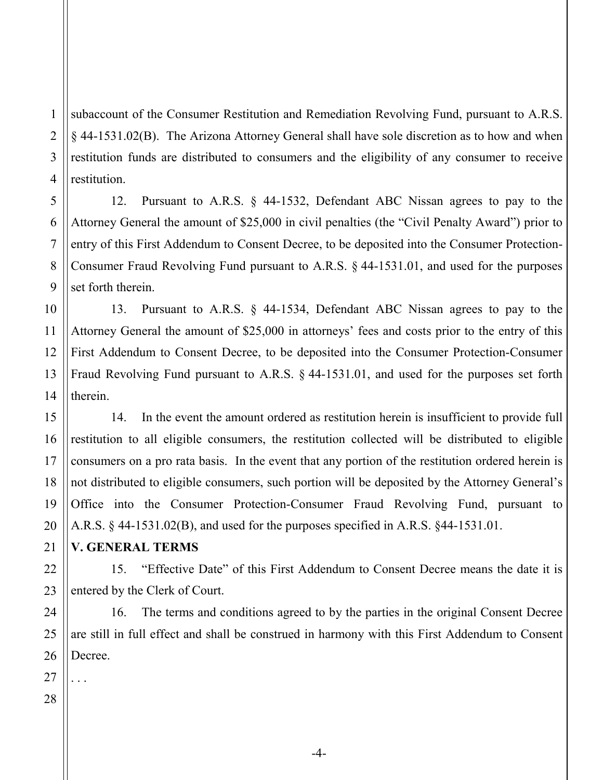2 3 4 subaccount of the Consumer Restitution and Remediation Revolving Fund, pursuant to A.R.S. § 44-1531.02(B). The Arizona Attorney General shall have sole discretion as to how and when restitution funds are distributed to consumers and the eligibility of any consumer to receive restitution.

12. Pursuant to A.R.S. § 44-1532, Defendant ABC Nissan agrees to pay to the Attorney General the amount of \$25,000 in civil penalties (the "Civil Penalty Award") prior to entry of this First Addendum to Consent Decree, to be deposited into the Consumer Protection-Consumer Fraud Revolving Fund pursuant to A.R.S. § 44-1531.01, and used for the purposes set forth therein.

13. Pursuant to A.R.S. § 44-1534, Defendant ABC Nissan agrees to pay to the Attorney General the amount of \$25,000 in attorneys' fees and costs prior to the entry of this First Addendum to Consent Decree, to be deposited into the Consumer Protection-Consumer Fraud Revolving Fund pursuant to A.R.S. § 44-1531.01, and used for the purposes set forth therein.

14. In the event the amount ordered as restitution herein is insufficient to provide full restitution to all eligible consumers, the restitution collected will be distributed to eligible consumers on a pro rata basis. In the event that any portion of the restitution ordered herein is not distributed to eligible consumers, such portion will be deposited by the Attorney General's Office into the Consumer Protection-Consumer Fraud Revolving Fund, pursuant to A.R.S. § 44-1531.02(B), and used for the purposes specified in A.R.S. §44-1531.01.

### **V. GENERAL TERMS**

15. "Effective Date" of this First Addendum to Consent Decree means the date it is entered by the Clerk of Court.

16. The terms and conditions agreed to by the parties in the original Consent Decree are still in full effect and shall be construed in harmony with this First Addendum to Consent Decree.

. . .

1

5

6

-4-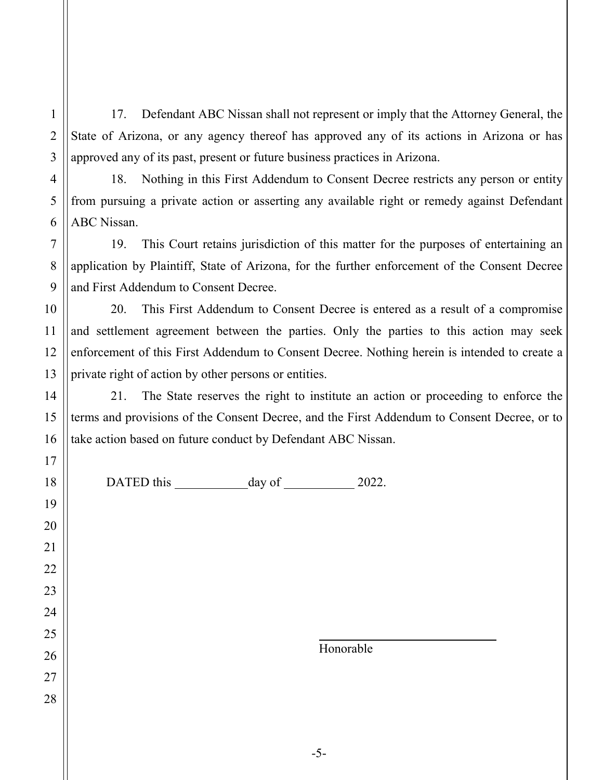17. Defendant ABC Nissan shall not represent or imply that the Attorney General, the State of Arizona, or any agency thereof has approved any of its actions in Arizona or has approved any of its past, present or future business practices in Arizona.

18. Nothing in this First Addendum to Consent Decree restricts any person or entity from pursuing a private action or asserting any available right or remedy against Defendant ABC Nissan.

19. This Court retains jurisdiction of this matter for the purposes of entertaining an application by Plaintiff, State of Arizona, for the further enforcement of the Consent Decree and First Addendum to Consent Decree.

20. This First Addendum to Consent Decree is entered as a result of a compromise and settlement agreement between the parties. Only the parties to this action may seek enforcement of this First Addendum to Consent Decree. Nothing herein is intended to create a private right of action by other persons or entities.

21. The State reserves the right to institute an action or proceeding to enforce the terms and provisions of the Consent Decree, and the First Addendum to Consent Decree, or to take action based on future conduct by Defendant ABC Nissan.

1

2

3

4

5

6

DATED this day of 2022.

Honorable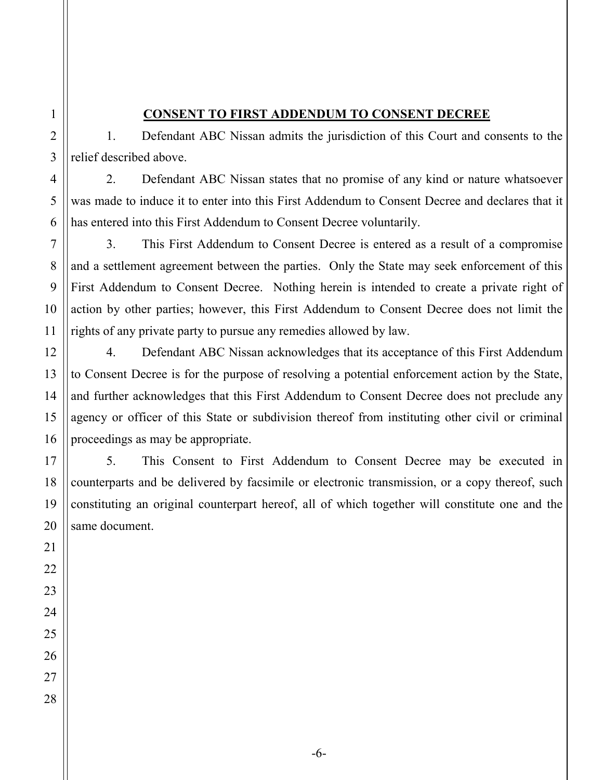#### **CONSENT TO FIRST ADDENDUM TO CONSENT DECREE**

1. Defendant ABC Nissan admits the jurisdiction of this Court and consents to the relief described above.

2. Defendant ABC Nissan states that no promise of any kind or nature whatsoever was made to induce it to enter into this First Addendum to Consent Decree and declares that it has entered into this First Addendum to Consent Decree voluntarily.

3. This First Addendum to Consent Decree is entered as a result of a compromise and a settlement agreement between the parties. Only the State may seek enforcement of this First Addendum to Consent Decree. Nothing herein is intended to create a private right of action by other parties; however, this First Addendum to Consent Decree does not limit the rights of any private party to pursue any remedies allowed by law.

4. Defendant ABC Nissan acknowledges that its acceptance of this First Addendum to Consent Decree is for the purpose of resolving a potential enforcement action by the State, and further acknowledges that this First Addendum to Consent Decree does not preclude any agency or officer of this State or subdivision thereof from instituting other civil or criminal proceedings as may be appropriate.

5. This Consent to First Addendum to Consent Decree may be executed in counterparts and be delivered by facsimile or electronic transmission, or a copy thereof, such constituting an original counterpart hereof, all of which together will constitute one and the same document.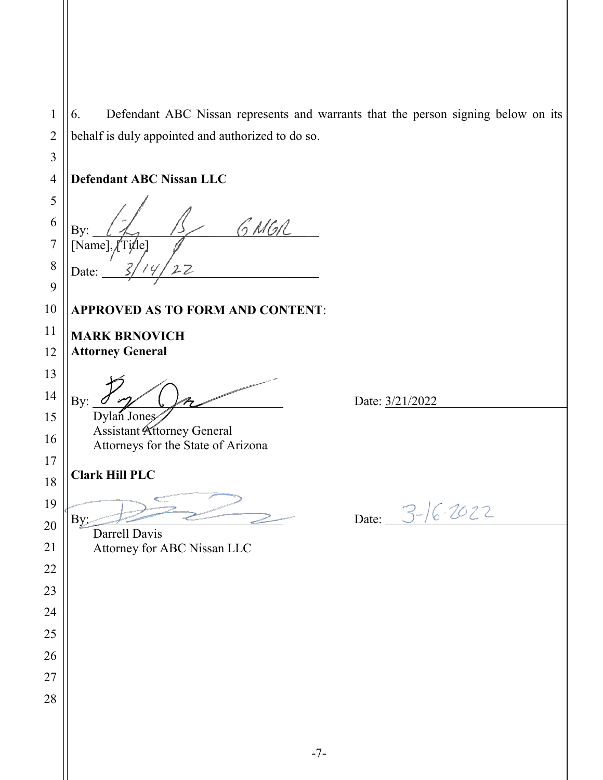6. Defendant ABC Nissan represents and warrants that the person signing below on its behalf is duly appointed and authorized to do so. **Defendant ABC Nissan LLC** GNGR By:  $[Name]$ ,  $[T$ *i*tle] Date: **APPROVED AS TO FORM AND CONTENT**: **MARK BRNOVICH Attorney General** By:  $\sigma$   $\gamma$   $\beta$ Dylan Jones Assistant Attorney General Attorneys for the State of Arizona **Clark Hill PLC** By:  $\frac{1}{2}$  Date:  $3-\frac{1}{6}\cdot\frac{1}{2}$  Darrell Davis Attorney for ABC Nissan LLC -7-